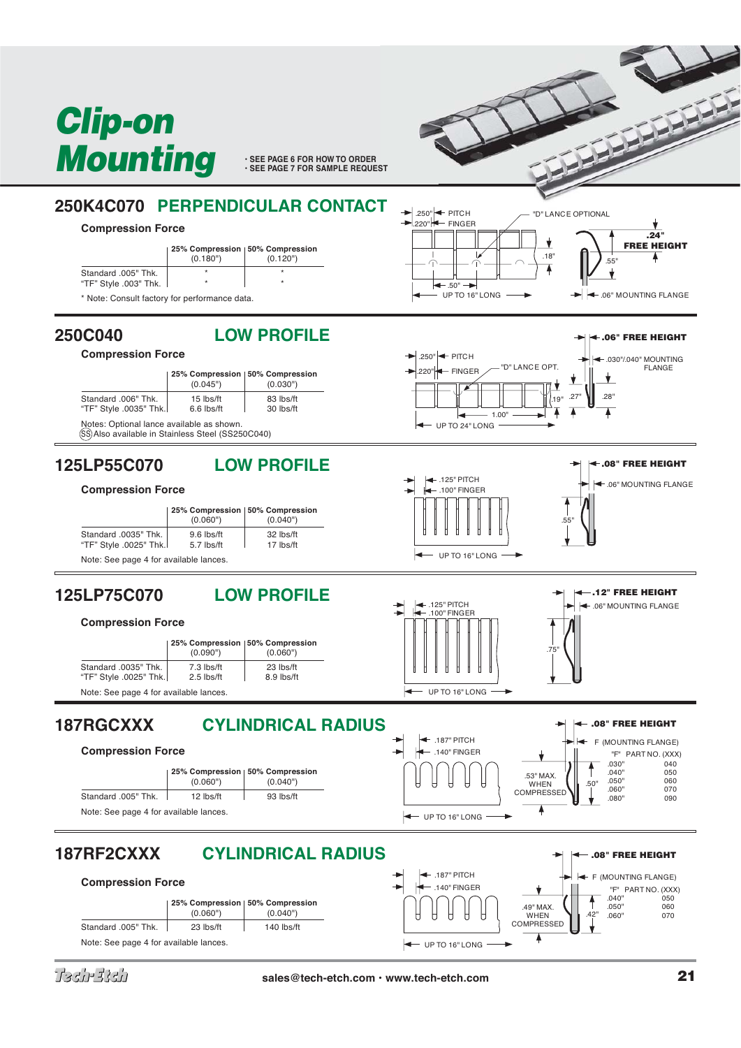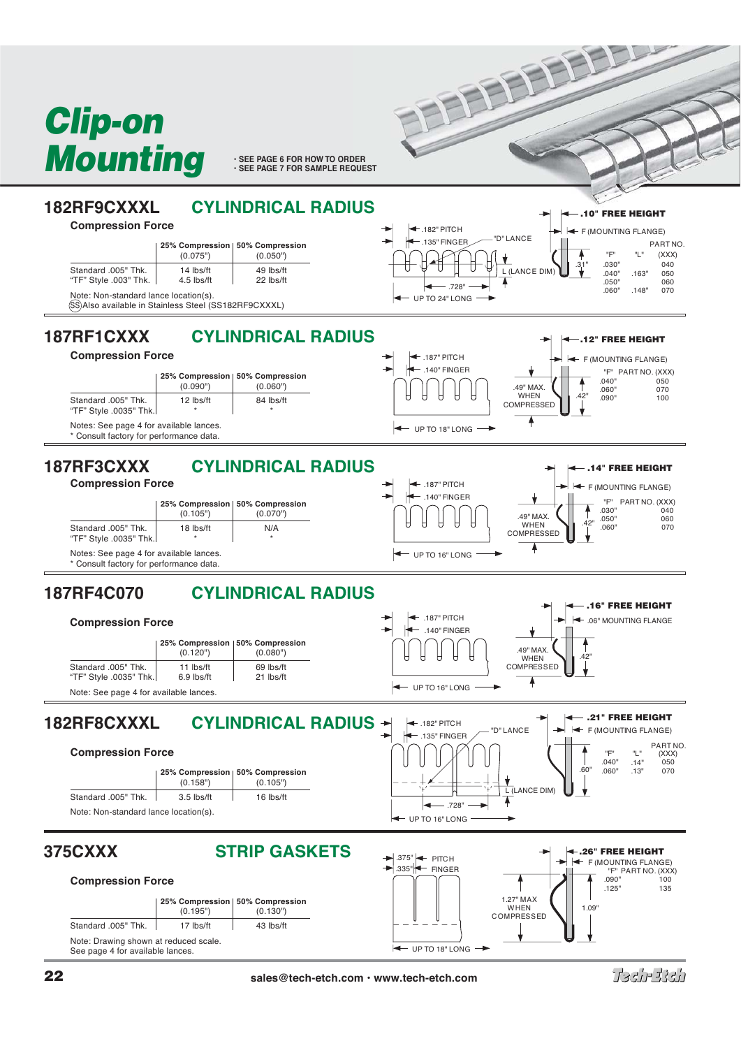

**• SEE PAGE 6 FOR HOW TO ORDER**<br>• SEE PAGE 7 FOR SAMPLE REQUEST

FEBEEF



 $-$  UP TO 18" LONG

ka.

Tashestah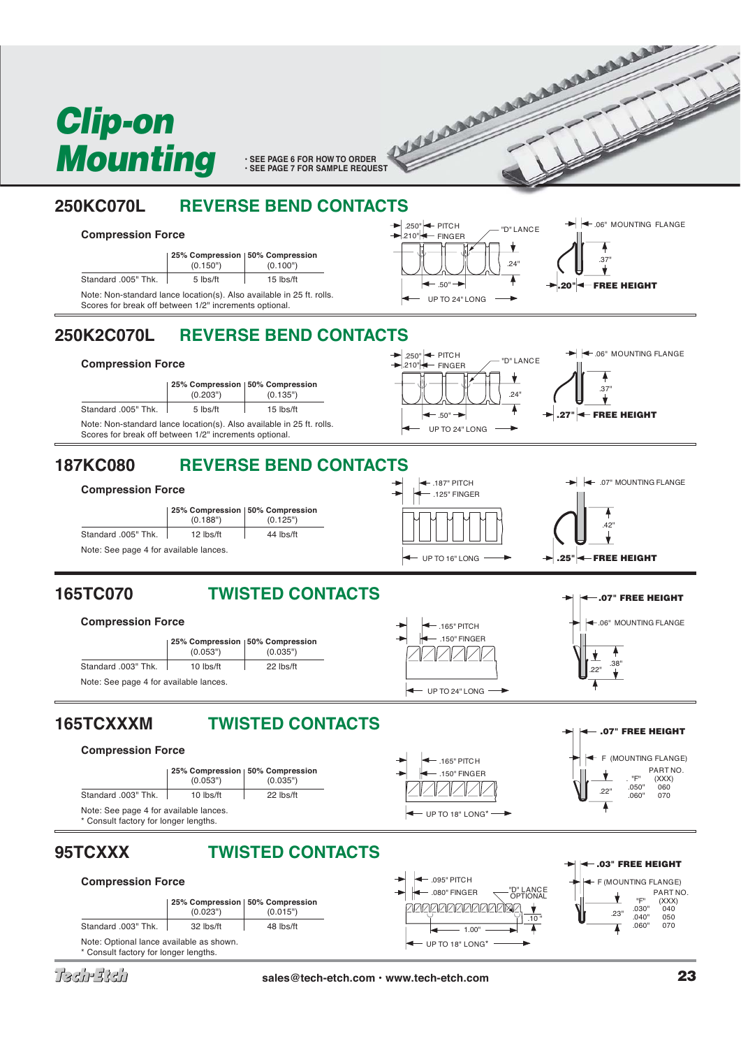

• SEE PAGE 6 FOR HOW TO ORDER **AND A BULGARY CONDERNATION** 

# **250KC070L REVERSE BEND CONTACTS**

## **Compression Force**

|                                                                                                                                 | 25% Compression   50% Compression<br>(0.150") | (0.100")    |
|---------------------------------------------------------------------------------------------------------------------------------|-----------------------------------------------|-------------|
| Standard .005" Thk.                                                                                                             | 5 lbs/ft                                      | $15$ lbs/ft |
| Note: Non-standard lance location(s). Also available in 25 ft. rolls.<br>Scores for break off between 1/2" increments optional. |                                               |             |



# **250K2C070L REVERSE BEND CONTACTS**

### **Compression Force**





# **187KC080 REVERSE BEND CONTACTS**







.150" FINGER .165" PITCH

 $-$  UP TO 24" LONG



 $\overline{.22}$ "  $\overline{.38}$ "

**.07" FREE HEIGHT**

.06" MOUNTING FLANGE **.07" FREE HEIGHT**

## **165TC070 TWISTED CONTACTS**





# **165TCXXXM TWISTED CONTACTS**

## **Compression Force**



# **95TCXXX TWISTED CONTACTS**